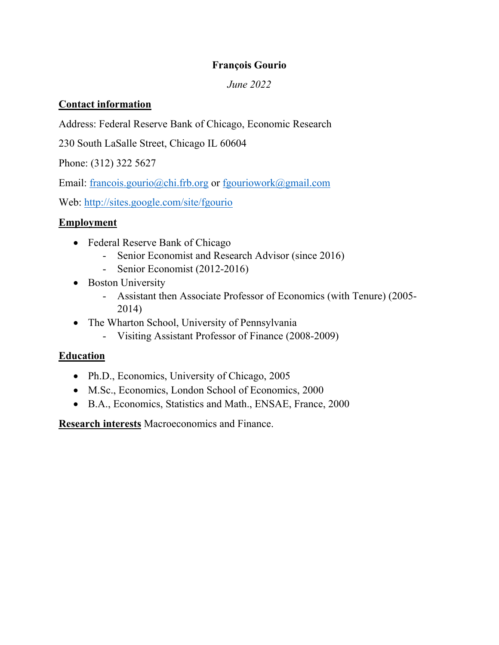## **François Gourio**

### *June 2022*

### **Contact information**

Address: Federal Reserve Bank of Chicago, Economic Research

230 South LaSalle Street, Chicago IL 60604

Phone: (312) 322 5627

Email: francois.gourio@chi.frb.org or fgouriowork@gmail.com

Web: http://sites.google.com/site/fgourio

### **Employment**

- Federal Reserve Bank of Chicago
	- Senior Economist and Research Advisor (since 2016)
	- Senior Economist (2012-2016)
- Boston University
	- Assistant then Associate Professor of Economics (with Tenure) (2005- 2014)
- The Wharton School, University of Pennsylvania
	- Visiting Assistant Professor of Finance (2008-2009)

# **Education**

- Ph.D., Economics, University of Chicago, 2005
- M.Sc., Economics, London School of Economics, 2000
- B.A., Economics, Statistics and Math., ENSAE, France, 2000

**Research interests** Macroeconomics and Finance.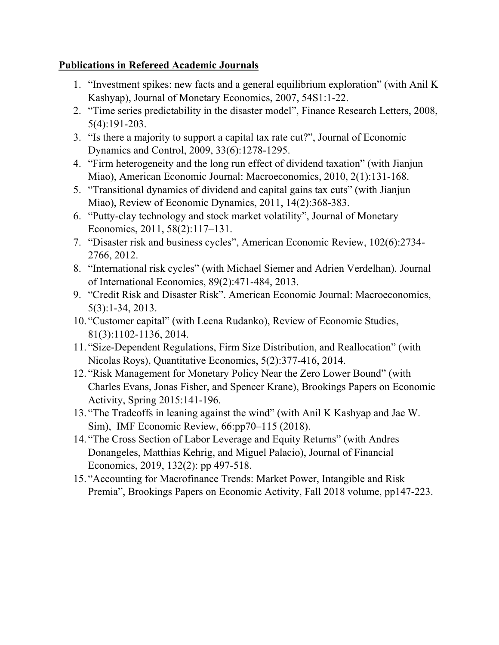### **Publications in Refereed Academic Journals**

- 1. "Investment spikes: new facts and a general equilibrium exploration" (with Anil K Kashyap), Journal of Monetary Economics, 2007, 54S1:1-22.
- 2. "Time series predictability in the disaster model", Finance Research Letters, 2008, 5(4):191-203.
- 3. "Is there a majority to support a capital tax rate cut?", Journal of Economic Dynamics and Control, 2009, 33(6):1278-1295.
- 4. "Firm heterogeneity and the long run effect of dividend taxation" (with Jianjun Miao), American Economic Journal: Macroeconomics, 2010, 2(1):131-168.
- 5. "Transitional dynamics of dividend and capital gains tax cuts" (with Jianjun Miao), Review of Economic Dynamics, 2011, 14(2):368-383.
- 6. "Putty-clay technology and stock market volatility", Journal of Monetary Economics, 2011, 58(2):117–131.
- 7. "Disaster risk and business cycles", American Economic Review, 102(6):2734- 2766, 2012.
- 8. "International risk cycles" (with Michael Siemer and Adrien Verdelhan). Journal of International Economics, 89(2):471-484, 2013.
- 9. "Credit Risk and Disaster Risk". American Economic Journal: Macroeconomics, 5(3):1-34, 2013.
- 10. "Customer capital" (with Leena Rudanko), Review of Economic Studies, 81(3):1102-1136, 2014.
- 11. "Size-Dependent Regulations, Firm Size Distribution, and Reallocation" (with Nicolas Roys), Quantitative Economics, 5(2):377-416, 2014.
- 12. "Risk Management for Monetary Policy Near the Zero Lower Bound" (with Charles Evans, Jonas Fisher, and Spencer Krane), Brookings Papers on Economic Activity, Spring 2015:141-196.
- 13. "The Tradeoffs in leaning against the wind" (with Anil K Kashyap and Jae W. Sim), IMF Economic Review, 66:pp70–115 (2018).
- 14. "The Cross Section of Labor Leverage and Equity Returns" (with Andres Donangeles, Matthias Kehrig, and Miguel Palacio), Journal of Financial Economics, 2019, 132(2): pp 497-518.
- 15. "Accounting for Macrofinance Trends: Market Power, Intangible and Risk Premia", Brookings Papers on Economic Activity, Fall 2018 volume, pp147-223.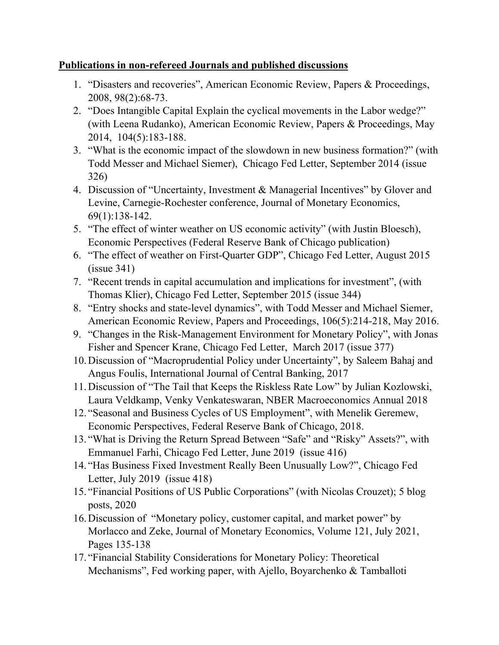### **Publications in non-refereed Journals and published discussions**

- 1. "Disasters and recoveries", American Economic Review, Papers & Proceedings, 2008, 98(2):68-73.
- 2. "Does Intangible Capital Explain the cyclical movements in the Labor wedge?" (with Leena Rudanko), American Economic Review, Papers & Proceedings, May 2014, 104(5):183-188.
- 3. "What is the economic impact of the slowdown in new business formation?" (with Todd Messer and Michael Siemer), Chicago Fed Letter, September 2014 (issue 326)
- 4. Discussion of "Uncertainty, Investment & Managerial Incentives" by Glover and Levine, Carnegie-Rochester conference, Journal of Monetary Economics, 69(1):138-142.
- 5. "The effect of winter weather on US economic activity" (with Justin Bloesch), Economic Perspectives (Federal Reserve Bank of Chicago publication)
- 6. "The effect of weather on First-Quarter GDP", Chicago Fed Letter, August 2015 (issue 341)
- 7. "Recent trends in capital accumulation and implications for investment", (with Thomas Klier), Chicago Fed Letter, September 2015 (issue 344)
- 8. "Entry shocks and state-level dynamics", with Todd Messer and Michael Siemer, American Economic Review, Papers and Proceedings, 106(5):214-218, May 2016.
- 9. "Changes in the Risk-Management Environment for Monetary Policy", with Jonas Fisher and Spencer Krane, Chicago Fed Letter, March 2017 (issue 377)
- 10.Discussion of "Macroprudential Policy under Uncertainty", by Saleem Bahaj and Angus Foulis, International Journal of Central Banking, 2017
- 11.Discussion of "The Tail that Keeps the Riskless Rate Low" by Julian Kozlowski, Laura Veldkamp, Venky Venkateswaran, NBER Macroeconomics Annual 2018
- 12. "Seasonal and Business Cycles of US Employment", with Menelik Geremew, Economic Perspectives, Federal Reserve Bank of Chicago, 2018.
- 13. "What is Driving the Return Spread Between "Safe" and "Risky" Assets?", with Emmanuel Farhi, Chicago Fed Letter, June 2019 (issue 416)
- 14. "Has Business Fixed Investment Really Been Unusually Low?", Chicago Fed Letter, July 2019 (issue 418)
- 15. "Financial Positions of US Public Corporations" (with Nicolas Crouzet); 5 blog posts, 2020
- 16.Discussion of "Monetary policy, customer capital, and market power" by Morlacco and Zeke, Journal of Monetary Economics, Volume 121, July 2021, Pages 135-138
- 17. "Financial Stability Considerations for Monetary Policy: Theoretical Mechanisms", Fed working paper, with Ajello, Boyarchenko & Tamballoti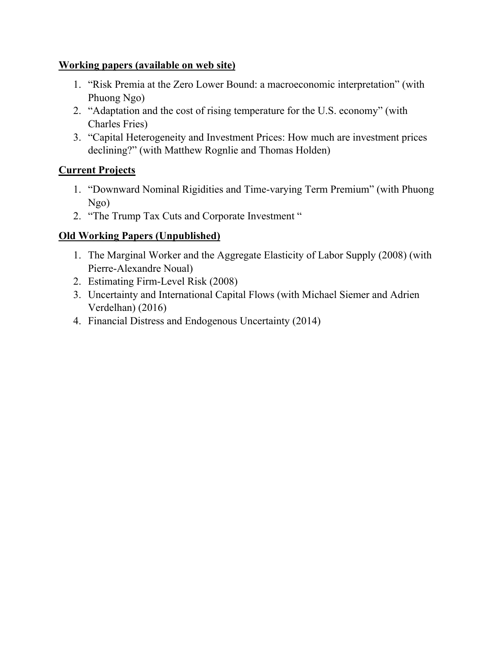### **Working papers (available on web site)**

- 1. "Risk Premia at the Zero Lower Bound: a macroeconomic interpretation" (with Phuong Ngo)
- 2. "Adaptation and the cost of rising temperature for the U.S. economy" (with Charles Fries)
- 3. "Capital Heterogeneity and Investment Prices: How much are investment prices declining?" (with Matthew Rognlie and Thomas Holden)

## **Current Projects**

- 1. "Downward Nominal Rigidities and Time-varying Term Premium" (with Phuong Ngo)
- 2. "The Trump Tax Cuts and Corporate Investment "

# **Old Working Papers (Unpublished)**

- 1. The Marginal Worker and the Aggregate Elasticity of Labor Supply (2008) (with Pierre-Alexandre Noual)
- 2. Estimating Firm-Level Risk (2008)
- 3. Uncertainty and International Capital Flows (with Michael Siemer and Adrien Verdelhan) (2016)
- 4. Financial Distress and Endogenous Uncertainty (2014)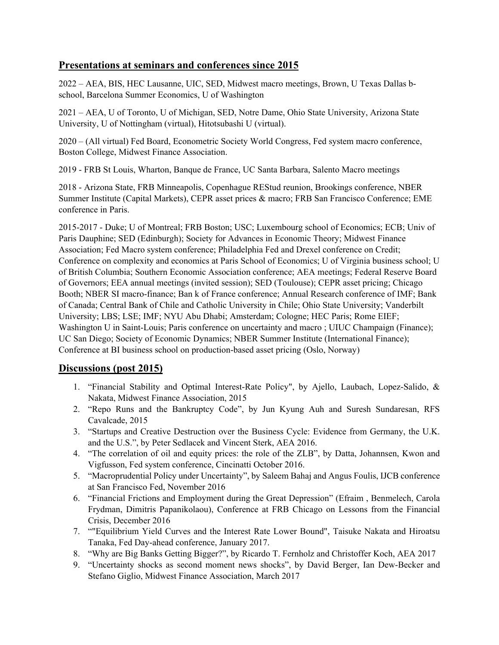#### **Presentations at seminars and conferences since 2015**

2022 – AEA, BIS, HEC Lausanne, UIC, SED, Midwest macro meetings, Brown, U Texas Dallas bschool, Barcelona Summer Economics, U of Washington

2021 – AEA, U of Toronto, U of Michigan, SED, Notre Dame, Ohio State University, Arizona State University, U of Nottingham (virtual), Hitotsubashi U (virtual).

2020 – (All virtual) Fed Board, Econometric Society World Congress, Fed system macro conference, Boston College, Midwest Finance Association.

2019 - FRB St Louis, Wharton, Banque de France, UC Santa Barbara, Salento Macro meetings

2018 - Arizona State, FRB Minneapolis, Copenhague REStud reunion, Brookings conference, NBER Summer Institute (Capital Markets), CEPR asset prices & macro; FRB San Francisco Conference; EME conference in Paris.

2015-2017 - Duke; U of Montreal; FRB Boston; USC; Luxembourg school of Economics; ECB; Univ of Paris Dauphine; SED (Edinburgh); Society for Advances in Economic Theory; Midwest Finance Association; Fed Macro system conference; Philadelphia Fed and Drexel conference on Credit; Conference on complexity and economics at Paris School of Economics; U of Virginia business school; U of British Columbia; Southern Economic Association conference; AEA meetings; Federal Reserve Board of Governors; EEA annual meetings (invited session); SED (Toulouse); CEPR asset pricing; Chicago Booth; NBER SI macro-finance; Ban k of France conference; Annual Research conference of IMF; Bank of Canada; Central Bank of Chile and Catholic University in Chile; Ohio State University; Vanderbilt University; LBS; LSE; IMF; NYU Abu Dhabi; Amsterdam; Cologne; HEC Paris; Rome EIEF; Washington U in Saint-Louis; Paris conference on uncertainty and macro ; UIUC Champaign (Finance); UC San Diego; Society of Economic Dynamics; NBER Summer Institute (International Finance); Conference at BI business school on production-based asset pricing (Oslo, Norway)

### **Discussions (post 2015)**

- 1. "Financial Stability and Optimal Interest-Rate Policy", by Ajello, Laubach, Lopez-Salido, & Nakata, Midwest Finance Association, 2015
- 2. "Repo Runs and the Bankruptcy Code", by Jun Kyung Auh and Suresh Sundaresan, RFS Cavalcade, 2015
- 3. "Startups and Creative Destruction over the Business Cycle: Evidence from Germany, the U.K. and the U.S.", by Peter Sedlacek and Vincent Sterk, AEA 2016.
- 4. "The correlation of oil and equity prices: the role of the ZLB", by Datta, Johannsen, Kwon and Vigfusson, Fed system conference, Cincinatti October 2016.
- 5. "Macroprudential Policy under Uncertainty", by Saleem Bahaj and Angus Foulis, IJCB conference at San Francisco Fed, November 2016
- 6. "Financial Frictions and Employment during the Great Depression" (Efraim , Benmelech, Carola Frydman, Dimitris Papanikolaou), Conference at FRB Chicago on Lessons from the Financial Crisis, December 2016
- 7. ""Equilibrium Yield Curves and the Interest Rate Lower Bound", Taisuke Nakata and Hiroatsu Tanaka, Fed Day-ahead conference, January 2017.
- 8. "Why are Big Banks Getting Bigger?", by Ricardo T. Fernholz and Christoffer Koch, AEA 2017
- 9. "Uncertainty shocks as second moment news shocks", by David Berger, Ian Dew-Becker and Stefano Giglio, Midwest Finance Association, March 2017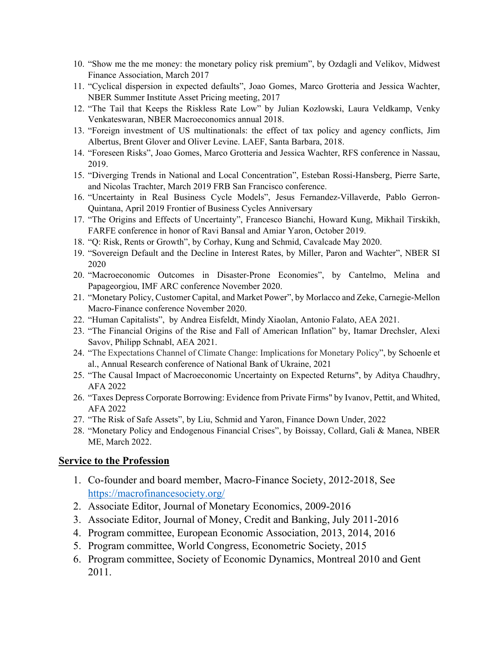- 10. "Show me the me money: the monetary policy risk premium", by Ozdagli and Velikov, Midwest Finance Association, March 2017
- 11. "Cyclical dispersion in expected defaults", Joao Gomes, Marco Grotteria and Jessica Wachter, NBER Summer Institute Asset Pricing meeting, 2017
- 12. "The Tail that Keeps the Riskless Rate Low" by Julian Kozlowski, Laura Veldkamp, Venky Venkateswaran, NBER Macroeconomics annual 2018.
- 13. "Foreign investment of US multinationals: the effect of tax policy and agency conflicts, Jim Albertus, Brent Glover and Oliver Levine. LAEF, Santa Barbara, 2018.
- 14. "Foreseen Risks", Joao Gomes, Marco Grotteria and Jessica Wachter, RFS conference in Nassau, 2019.
- 15. "Diverging Trends in National and Local Concentration", Esteban Rossi-Hansberg, Pierre Sarte, and Nicolas Trachter, March 2019 FRB San Francisco conference.
- 16. "Uncertainty in Real Business Cycle Models", Jesus Fernandez-Villaverde, Pablo Gerron-Quintana, April 2019 Frontier of Business Cycles Anniversary
- 17. "The Origins and Effects of Uncertainty", Francesco Bianchi, Howard Kung, Mikhail Tirskikh, FARFE conference in honor of Ravi Bansal and Amiar Yaron, October 2019.
- 18. "Q: Risk, Rents or Growth", by Corhay, Kung and Schmid, Cavalcade May 2020.
- 19. "Sovereign Default and the Decline in Interest Rates, by Miller, Paron and Wachter", NBER SI 2020
- 20. "Macroeconomic Outcomes in Disaster-Prone Economies", by Cantelmo, Melina and Papageorgiou, IMF ARC conference November 2020.
- 21. "Monetary Policy, Customer Capital, and Market Power", by Morlacco and Zeke, Carnegie-Mellon Macro-Finance conference November 2020.
- 22. "Human Capitalists", by Andrea Eisfeldt, Mindy Xiaolan, Antonio Falato, AEA 2021.
- 23. "The Financial Origins of the Rise and Fall of American Inflation" by, Itamar Drechsler, Alexi Savov, Philipp Schnabl, AEA 2021.
- 24. "The Expectations Channel of Climate Change: Implications for Monetary Policy", by Schoenle et al., Annual Research conference of National Bank of Ukraine, 2021
- 25. "The Causal Impact of Macroeconomic Uncertainty on Expected Returns", by Aditya Chaudhry, AFA 2022
- 26. "Taxes Depress Corporate Borrowing: Evidence from Private Firms" by Ivanov, Pettit, and Whited, AFA 2022
- 27. "The Risk of Safe Assets", by Liu, Schmid and Yaron, Finance Down Under, 2022
- 28. "Monetary Policy and Endogenous Financial Crises", by Boissay, Collard, Gali & Manea, NBER ME, March 2022.

#### **Service to the Profession**

- 1. Co-founder and board member, Macro-Finance Society, 2012-2018, See https://macrofinancesociety.org/
- 2. Associate Editor, Journal of Monetary Economics, 2009-2016
- 3. Associate Editor, Journal of Money, Credit and Banking, July 2011-2016
- 4. Program committee, European Economic Association, 2013, 2014, 2016
- 5. Program committee, World Congress, Econometric Society, 2015
- 6. Program committee, Society of Economic Dynamics, Montreal 2010 and Gent 2011.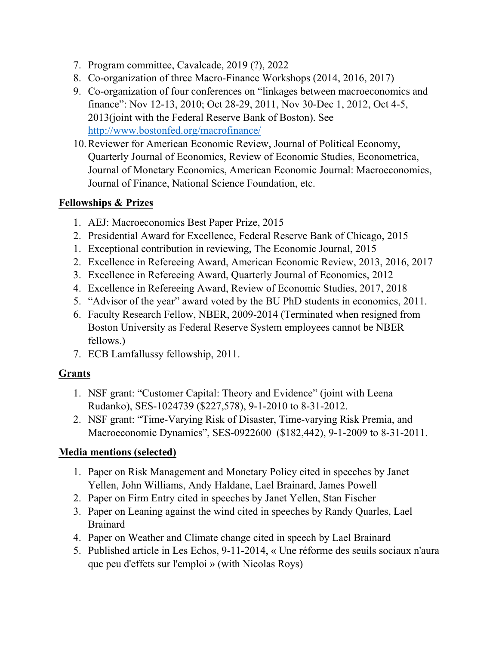- 7. Program committee, Cavalcade, 2019 (?), 2022
- 8. Co-organization of three Macro-Finance Workshops (2014, 2016, 2017)
- 9. Co-organization of four conferences on "linkages between macroeconomics and finance": Nov 12-13, 2010; Oct 28-29, 2011, Nov 30-Dec 1, 2012, Oct 4-5, 2013(joint with the Federal Reserve Bank of Boston). See http://www.bostonfed.org/macrofinance/
- 10.Reviewer for American Economic Review, Journal of Political Economy, Quarterly Journal of Economics, Review of Economic Studies, Econometrica, Journal of Monetary Economics, American Economic Journal: Macroeconomics, Journal of Finance, National Science Foundation, etc.

## **Fellowships & Prizes**

- 1. AEJ: Macroeconomics Best Paper Prize, 2015
- 2. Presidential Award for Excellence, Federal Reserve Bank of Chicago, 2015
- 1. Exceptional contribution in reviewing, The Economic Journal, 2015
- 2. Excellence in Refereeing Award, American Economic Review, 2013, 2016, 2017
- 3. Excellence in Refereeing Award, Quarterly Journal of Economics, 2012
- 4. Excellence in Refereeing Award, Review of Economic Studies, 2017, 2018
- 5. "Advisor of the year" award voted by the BU PhD students in economics, 2011.
- 6. Faculty Research Fellow, NBER, 2009-2014 (Terminated when resigned from Boston University as Federal Reserve System employees cannot be NBER fellows.)
- 7. ECB Lamfallussy fellowship, 2011.

# **Grants**

- 1. NSF grant: "Customer Capital: Theory and Evidence" (joint with Leena Rudanko), SES-1024739 (\$227,578), 9-1-2010 to 8-31-2012.
- 2. NSF grant: "Time-Varying Risk of Disaster, Time-varying Risk Premia, and Macroeconomic Dynamics", SES-0922600 (\$182,442), 9-1-2009 to 8-31-2011.

# **Media mentions (selected)**

- 1. Paper on Risk Management and Monetary Policy cited in speeches by Janet Yellen, John Williams, Andy Haldane, Lael Brainard, James Powell
- 2. Paper on Firm Entry cited in speeches by Janet Yellen, Stan Fischer
- 3. Paper on Leaning against the wind cited in speeches by Randy Quarles, Lael Brainard
- 4. Paper on Weather and Climate change cited in speech by Lael Brainard
- 5. Published article in Les Echos, 9-11-2014, « Une réforme des seuils sociaux n'aura que peu d'effets sur l'emploi » (with Nicolas Roys)